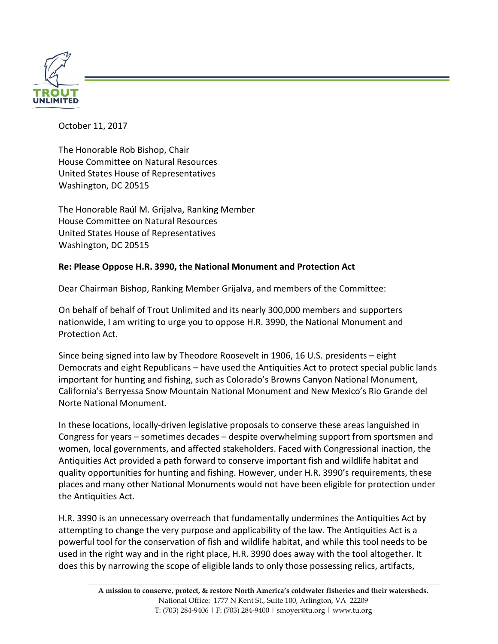

October 11, 2017

The Honorable Rob Bishop, Chair House Committee on Natural Resources United States House of Representatives Washington, DC 20515

The Honorable Raúl M. Grijalva, Ranking Member House Committee on Natural Resources United States House of Representatives Washington, DC 20515

## **Re: Please Oppose H.R. 3990, the National Monument and Protection Act**

Dear Chairman Bishop, Ranking Member Grijalva, and members of the Committee:

On behalf of behalf of Trout Unlimited and its nearly 300,000 members and supporters nationwide, I am writing to urge you to oppose H.R. 3990, the National Monument and Protection Act.

Since being signed into law by Theodore Roosevelt in 1906, 16 U.S. presidents – eight Democrats and eight Republicans – have used the Antiquities Act to protect special public lands important for hunting and fishing, such as Colorado's Browns Canyon National Monument, California's Berryessa Snow Mountain National Monument and New Mexico's Rio Grande del Norte National Monument.

In these locations, locally-driven legislative proposals to conserve these areas languished in Congress for years – sometimes decades – despite overwhelming support from sportsmen and women, local governments, and affected stakeholders. Faced with Congressional inaction, the Antiquities Act provided a path forward to conserve important fish and wildlife habitat and quality opportunities for hunting and fishing. However, under H.R. 3990's requirements, these places and many other National Monuments would not have been eligible for protection under the Antiquities Act.

H.R. 3990 is an unnecessary overreach that fundamentally undermines the Antiquities Act by attempting to change the very purpose and applicability of the law. The Antiquities Act is a powerful tool for the conservation of fish and wildlife habitat, and while this tool needs to be used in the right way and in the right place, H.R. 3990 does away with the tool altogether. It does this by narrowing the scope of eligible lands to only those possessing relics, artifacts,